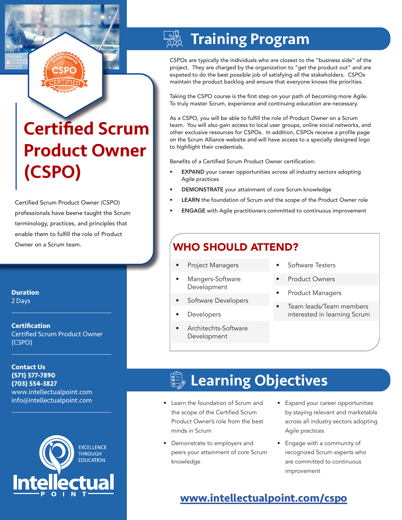# Certified Scrum Product Owner (CSPO)

Certified Scrum Product Owner (CSPO) professionals have beene taught the Scrum terminology, practices, and principles that enable them to fulfill the role of Product Owner on a Scrum team.

**Duration** 2 Days

**Certification** Certified Scrum Product Owner (CSPO)

 $\mathcal{L}_\text{max}$  , and the set of the set of the set of the set of the set of the set of the set of the set of the set of the set of the set of the set of the set of the set of the set of the set of the set of the set of the

 $\mathcal{L}_\text{max}$  and  $\mathcal{L}_\text{max}$  and  $\mathcal{L}_\text{max}$  and  $\mathcal{L}_\text{max}$ 

 $\mathcal{L}_\text{max}$  , and the set of the set of the set of the set of the set of the set of the set of the set of the set of the set of the set of the set of the set of the set of the set of the set of the set of the set of the

**Contact Us (571) 577-7890 (703) 554-3827** www.intellectualpoint.com info@intellectualpoint.com



# Training Program

CSPOs are typically the individuals who are closest to the "business side" of the project. They are charged by the organization to "get the product out" and are expeted to do the best possible job of satisfying all the stakeholders. CSPOs maintain the product backlog and ensure that everyone knows the priorities.

Taking the CSPO course is the first step on your path of becoming more Agile. To truly master Scrum, experience and continuing education are necessary.

As a CSPO, you will be able to fulfill the role of Product Owner on a Scrum team. You will also gain access to local user groups, online social networks, and other exclusive resources for CSPOs. In addition, CSPOs receive a profile page on the Scrum Alliance website and will have access to a specially designed logo to highllight their credentials.

Benefits of a Certified Scrum Product Owner certification:

- EXPAND your career opportunities across all industry sectors adopting Agile practices
- DEMONSTRATE your attainment of core Scrum knowledge
- LEARN the foundation of Scrum and the scope of the Product Owner role
- ENGAGE with Agile practitioners committed to continuous improvement

## WHO SHOULD ATTEND?

- Project Managers
- Mangers-Software Development
- Software Developers
- **Developers**
- Architechts-Software Development
- Software Testers
- Product Owners
- Product Managers
- Team leads/Team members interested in learning Scrum

# **Learning Objectives**

- Learn the foundation of Scrum and the scope of the Certified Scrum Product Owner's role from the best minds in Scrum
- Demonstrate to employers and peers your attainment of core Scrum knowledge
- Expand your career opportunities by staying relevant and marketable across all industry sectors adopting Agile practices
- Engage with a community of recognized Scrum experts who are committed to continuous improvement

### **[www.intellectualpoint.com/](https://www.intellectualpoint.com/product/certified-scrum-product-owner/)cspo**